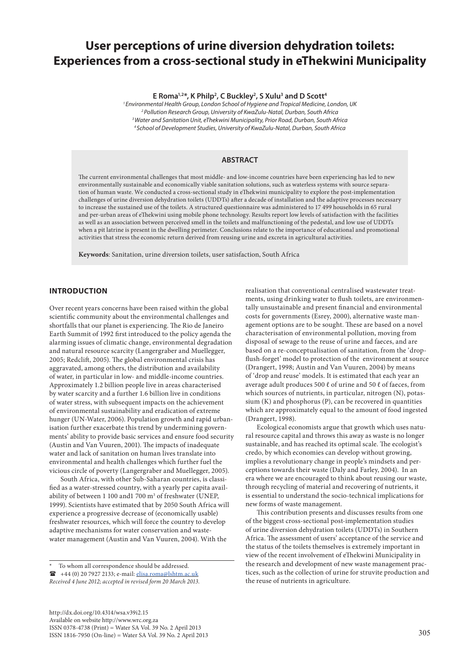# **User perceptions of urine diversion dehydration toilets: Experiences from a cross-sectional study in eThekwini Municipality**

**E Roma1,2\*, K Philp2 , C Buckley2 , S Xulu3 and D Scott4**

*1 Environmental Health Group, London School of Hygiene and Tropical Medicine, London, UK 2 Pollution Research Group, University of KwaZulu-Natal, Durban, South Africa 3 Water and Sanitation Unit, eThekwini Municipality, Prior Road, Durban, South Africa 4 School of Development Studies, University of KwaZulu-Natal, Durban, South Africa*

#### **ABSTRACT**

The current environmental challenges that most middle- and low-income countries have been experiencing has led to new environmentally sustainable and economically viable sanitation solutions, such as waterless systems with source separation of human waste. We conducted a cross-sectional study in eThekwini municipality to explore the post-implementation challenges of urine diversion dehydration toilets (UDDTs) after a decade of installation and the adaptive processes necessary to increase the sustained use of the toilets. A structured questionnaire was administered to 17 499 households in 65 rural and per-urban areas of eThekwini using mobile phone technology. Results report low levels of satisfaction with the facilities as well as an association between perceived smell in the toilets and malfunctioning of the pedestal, and low use of UDDTs when a pit latrine is present in the dwelling perimeter. Conclusions relate to the importance of educational and promotional activities that stress the economic return derived from reusing urine and excreta in agricultural activities.

**Keywords**: Sanitation, urine diversion toilets, user satisfaction, South Africa

#### **INTRODUCTION**

Over recent years concerns have been raised within the global scientific community about the environmental challenges and shortfalls that our planet is experiencing. The Rio de Janeiro Earth Summit of 1992 first introduced to the policy agenda the alarming issues of climatic change, environmental degradation and natural resource scarcity (Langergraber and Muellegger, 2005; Redclift, 2005). The global environmental crisis has aggravated, among others, the distribution and availability of water, in particular in low- and middle-income countries. Approximately 1.2 billion people live in areas characterised by water scarcity and a further 1.6 billion live in conditions of water stress, with subsequent impacts on the achievement of environmental sustainability and eradication of extreme hunger (UN-Water, 2006). Population growth and rapid urbanisation further exacerbate this trend by undermining governments' ability to provide basic services and ensure food security (Austin and Van Vuuren, 2001). The impacts of inadequate water and lack of sanitation on human lives translate into environmental and health challenges which further fuel the vicious circle of poverty (Langergraber and Muellegger, 2005).

South Africa, with other Sub-Saharan countries, is classified as a water-stressed country, with a yearly per capita availability of between 1 100 and1 700 m<sup>3</sup> of freshwater (UNEP, 1999). Scientists have estimated that by 2050 South Africa will experience a progressive decrease of (economically usable) freshwater resources, which will force the country to develop adaptive mechanisms for water conservation and wastewater management (Austin and Van Vuuren, 2004). With the

To whom all correspondence should be addressed.  $\bullet$  +44 (0) 20 7927 2133; e-mail: elisa.roma@lshtm.ac.uk *Received 4 June 2012; accepted in revised form 20 March 2013.*

[http://dx.doi.org/10.4314/wsa.v39i2.15](http://dx.doi.org/10.4314/wsa.v37i4.18) Available on website http://www.wrc.org.za ISSN 0378-4738 (Print) = Water SA Vol. 39 No. 2 April 2013 ISSN 1816-7950 (On-line) = Water SA Vol. 39 No. 2 April 2013 305

realisation that conventional centralised wastewater treatments, using drinking water to flush toilets, are environmentally unsustainable and present financial and environmental costs for governments (Esrey, 2000), alternative waste management options are to be sought. These are based on a novel characterisation of environmental pollution, moving from disposal of sewage to the reuse of urine and faeces, and are based on a re-conceptualisation of sanitation, from the 'dropflush-forget' model to protection of the environment at source (Drangert, 1998; Austin and Van Vuuren, 2004) by means of 'drop and reuse' models. It is estimated that each year an average adult produces 500 ℓ of urine and 50 ℓ of faeces, from which sources of nutrients, in particular, nitrogen (N), potassium (K) and phosphorus (P), can be recovered in quantities which are approximately equal to the amount of food ingested (Drangert, 1998).

Ecological economists argue that growth which uses natural resource capital and throws this away as waste is no longer sustainable, and has reached its optimal scale. The ecologist's credo, by which economies can develop without growing, implies a revolutionary change in people's mindsets and perceptions towards their waste (Daly and Farley, 2004). In an era where we are encouraged to think about reusing our waste, through recycling of material and recovering of nutrients, it is essential to understand the socio-technical implications for new forms of waste management.

This contribution presents and discusses results from one of the biggest cross-sectional post-implementation studies of urine diversion dehydration toilets (UDDTs) in Southern Africa. The assessment of users' acceptance of the service and the status of the toilets themselves is extremely important in view of the recent involvement of eThekwini Municipality in the research and development of new waste management practices, such as the collection of urine for struvite production and the reuse of nutrients in agriculture.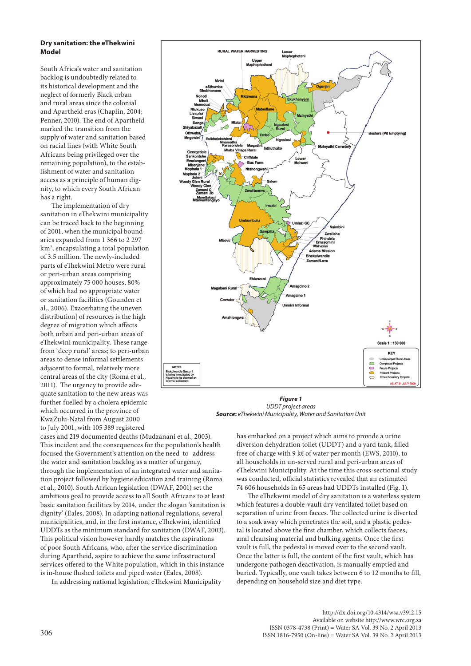#### **Dry sanitation: the eThekwini Model**

South Africa's water and sanitation backlog is undoubtedly related to its historical development and the neglect of formerly Black urban and rural areas since the colonial and Apartheid eras (Chaplin, 2004; Penner, 2010). The end of Apartheid marked the transition from the supply of water and sanitation based on racial lines (with White South Africans being privileged over the remaining population), to the establishment of water and sanitation access as a principle of human dignity, to which every South African has a right.

The implementation of dry sanitation in eThekwini municipality can be traced back to the beginning of 2001, when the municipal boundaries expanded from 1 366 to 2 297 km2 , encapsulating a total population of 3.5 million. The newly-included parts of eThekwini Metro were rural or peri-urban areas comprising approximately 75 000 houses, 80% of which had no appropriate water or sanitation facilities (Gounden et al., 2006). Exacerbating the uneven distribution] of resources is the high degree of migration which affects both urban and peri-urban areas of eThekwini municipality. These range from 'deep rural' areas; to peri-urban areas to dense informal settlements adjacent to formal, relatively more central areas of the city (Roma et al., 2011). The urgency to provide adequate sanitation to the new areas was further fuelled by a cholera epidemic which occurred in the province of KwaZulu-Natal from August 2000 to July 2001, with 105 389 registered

cases and 219 documented deaths (Mudzanani et al., 2003). This incident and the consequences for the population's health focused the Government's attention on the need to -address the water and sanitation backlog as a matter of urgency, through the implementation of an integrated water and sanitation project followed by hygiene education and training (Roma et al., 2010). South African legislation (DWAF, 2001) set the ambitious goal to provide access to all South Africans to at least basic sanitation facilities by 2014, under the slogan 'sanitation is dignity' (Eales, 2008). In adapting national regulations, several municipalities, and, in the first instance, eThekwini, identified UDDTs as the minimum standard for sanitation (DWAF, 2003). This political vision however hardly matches the aspirations of poor South Africans, who, after the service discrimination during Apartheid, aspire to achieve the same infrastructural services offered to the White population, which in this instance is in-house flushed toilets and piped water (Eales, 2008).

In addressing national legislation, eThekwini Municipality



*Figure 1 UDDT project areas Source***:** *eThekwini Municipality, Water and Sanitation Unit*

has embarked on a project which aims to provide a urine diversion dehydration toilet (UDDT) and a yard tank, filled free of charge with 9 kℓ of water per month (EWS, 2010), to all households in un-served rural and peri-urban areas of eThekwini Municipality. At the time this cross-sectional study was conducted, official statistics revealed that an estimated 74 606 households in 65 areas had UDDTs installed (Fig. 1).

The eThekwini model of dry sanitation is a waterless system which features a double-vault dry ventilated toilet based on separation of urine from faeces. The collected urine is diverted to a soak away which penetrates the soil, and a plastic pedestal is located above the first chamber, which collects faeces, anal cleansing material and bulking agents. Once the first vault is full, the pedestal is moved over to the second vault. Once the latter is full, the content of the first vault, which has undergone pathogen deactivation, is manually emptied and buried. Typically, one vault takes between 6 to 12 months to fill, depending on household size and diet type.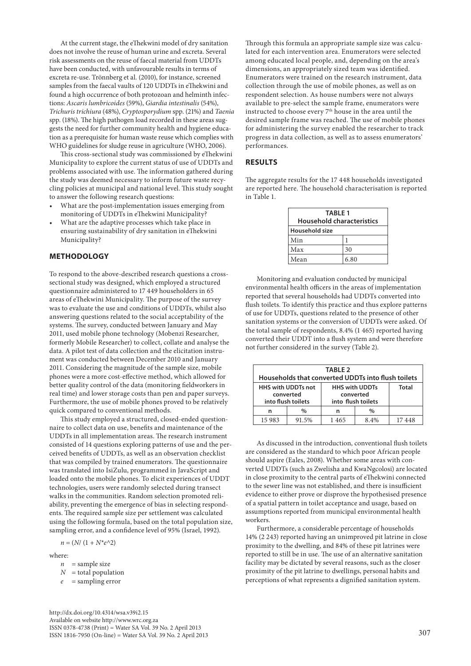At the current stage, the eThekwini model of dry sanitation does not involve the reuse of human urine and excreta. Several risk assessments on the reuse of faecal material from UDDTs have been conducted, with unfavourable results in terms of excreta re-use. Trönnberg et al*.* (2010), for instance, screened samples from the faecal vaults of 120 UDDTs in eThekwini and found a high occurrence of both protozoan and helminth infections: *Ascaris lumbricoides* (59%), *Giardia intestinalis* (54%), *Trichuris trichiura* (48%), *Cryptosporydium* spp. (21%) and *Taenia* spp. (18%). The high pathogen load recorded in these areas suggests the need for further community health and hygiene education as a prerequisite for human waste reuse which complies with WHO guidelines for sludge reuse in agriculture (WHO, 2006).

This cross-sectional study was commissioned by eThekwini Municipality to explore the current status of use of UDDTs and problems associated with use. The information gathered during the study was deemed necessary to inform future waste recycling policies at municipal and national level. This study sought to answer the following research questions:

- What are the post-implementation issues emerging from monitoring of UDDTs in eThekwini Municipality?
- What are the adaptive processes which take place in ensuring sustainability of dry sanitation in eThekwini Municipality?

# **METHODOLOGY**

To respond to the above-described research questions a crosssectional study was designed, which employed a structured questionnaire administered to 17 449 householders in 65 areas of eThekwini Municipality. The purpose of the survey was to evaluate the use and conditions of UDDTs, whilst also answering questions related to the social acceptability of the systems. The survey, conducted between January and May 2011, used mobile phone technology (Mobenzi Researcher, formerly Mobile Researcher) to collect, collate and analyse the data. A pilot test of data collection and the elicitation instrument was conducted between December 2010 and January 2011. Considering the magnitude of the sample size, mobile phones were a more cost-effective method, which allowed for better quality control of the data (monitoring fieldworkers in real time) and lower storage costs than pen and paper surveys. Furthermore, the use of mobile phones proved to be relatively quick compared to conventional methods.

This study employed a structured, closed-ended questionnaire to collect data on use, benefits and maintenance of the UDDTs in all implementation areas. The research instrument consisted of 14 questions exploring patterns of use and the perceived benefits of UDDTs, as well as an observation checklist that was compiled by trained enumerators. The questionnaire was translated into IsiZulu, programmed in JavaScript and loaded onto the mobile phones. To elicit experiences of UDDT technologies, users were randomly selected during transect walks in the communities. Random selection promoted reliability, preventing the emergence of bias in selecting respondents. The required sample size per settlement was calculated using the following formula, based on the total population size, sampling error, and a confidence level of 95% (Israel, 1992).

 $n = (N/(1 + N^*e^{\wedge}2))$ 

where:

- $n =$ sample size
- $N =$  total population
- *e* = sampling error

Through this formula an appropriate sample size was calculated for each intervention area. Enumerators were selected among educated local people, and, depending on the area's dimensions, an appropriately sized team was identified. Enumerators were trained on the research instrument, data collection through the use of mobile phones, as well as on respondent selection. As house numbers were not always available to pre-select the sample frame, enumerators were instructed to choose every 7<sup>th</sup> house in the area until the desired sample frame was reached. The use of mobile phones for administering the survey enabled the researcher to track progress in data collection, as well as to assess enumerators' performances.

#### **RESULTS**

The aggregate results for the 17 448 households investigated are reported here. The household characterisation is reported in Table 1.

| <b>TABLE 1</b><br><b>Household characteristics</b> |  |  |  |
|----------------------------------------------------|--|--|--|
| Household size                                     |  |  |  |
| Min                                                |  |  |  |
| 30<br>Max                                          |  |  |  |
| 6.80<br>Mean                                       |  |  |  |

Monitoring and evaluation conducted by municipal environmental health officers in the areas of implementation reported that several households had UDDTs converted into flush toilets. To identify this practice and thus explore patterns of use for UDDTs, questions related to the presence of other sanitation systems or the conversion of UDDTs were asked. Of the total sample of respondents, 8.4% (1 465) reported having converted their UDDT into a flush system and were therefore not further considered in the survey (Table 2).

| <b>TABLE 2</b><br>Households that converted UDDTs into flush toilets |                                                              |                                                          |      |       |  |              |
|----------------------------------------------------------------------|--------------------------------------------------------------|----------------------------------------------------------|------|-------|--|--------------|
|                                                                      | <b>HHS with UDDTs not</b><br>converted<br>into flush toilets | <b>HHS with UDDTs</b><br>converted<br>into flush toilets |      |       |  | <b>Total</b> |
| n                                                                    | $\%$                                                         | $\%$<br>n                                                |      |       |  |              |
| 15 983                                                               | 91.5%                                                        | 1465                                                     | 8.4% | 17448 |  |              |

As discussed in the introduction, conventional flush toilets are considered as the standard to which poor African people should aspire (Eales, 2008). Whether some areas with converted UDDTs (such as Zwelisha and KwaNgcolosi) are located in close proximity to the central parts of eThekwini connected to the sewer line was not established, and there is insufficient evidence to either prove or disprove the hypothesised presence of a spatial pattern in toilet acceptance and usage, based on assumptions reported from municipal environmental health workers.

Furthermore, a considerable percentage of households 14% (2 243) reported having an unimproved pit latrine in close proximity to the dwelling, and 84% of these pit latrines were reported to still be in use. The use of an alternative sanitation facility may be dictated by several reasons, such as the closer proximity of the pit latrine to dwellings, personal habits and perceptions of what represents a dignified sanitation system.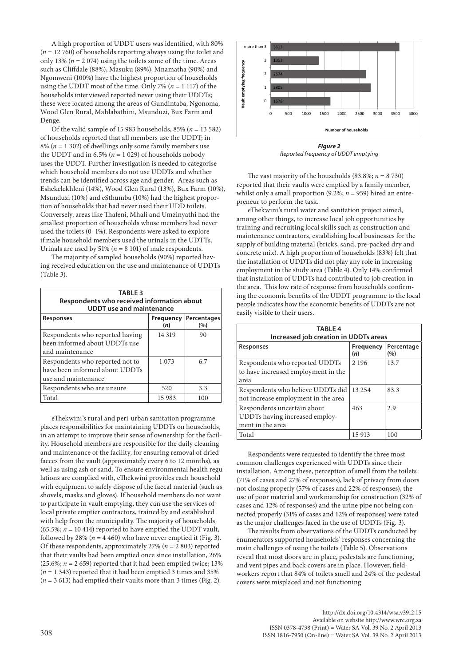A high proportion of UDDT users was identified, with 80% (*n* = 12 760) of households reporting always using the toilet and only 13% ( $n = 2074$ ) using the toilets some of the time. Areas such as Cliffdale (88%), Masuku (89%), Mnamatha (90%) and Ngomweni (100%) have the highest proportion of households using the UDDT most of the time. Only 7% ( $n = 1$  117) of the households interviewed reported never using their UDDTs; these were located among the areas of Gundintaba, Ngonoma, Wood Glen Rural, Mahlabathini, Msunduzi, Bux Farm and Denge.

Of the valid sample of 15 983 households, 85% (*n* = 13 582) of households reported that all members use the UDDT; in 8% (*n* = 1 302) of dwellings only some family members use the UDDT and in 6.5% ( $n = 1$  029) of households nobody uses the UDDT. Further investigation is needed to categorise which household members do not use UDDTs and whether trends can be identified across age and gender. Areas such as Eshekelekhleni (14%), Wood Glen Rural (13%), Bux Farm (10%), Msunduzi (10%) and eSthumba (10%) had the highest proportion of households that had never used their UDD toilets. Conversely, areas like Thafeni, Mhali and Umzinyathi had the smallest proportion of households whose members had never used the toilets (0–1%). Respondents were asked to explore if male household members used the urinals in the UDTTs. Urinals are used by 51% ( $n = 8$  101) of male respondents.

The majority of sampled households (90%) reported having received education on the use and maintenance of UDDTs (Table 3).

| <b>TABLE 3</b><br>Respondents who received information about<br><b>UDDT</b> use and maintenance |                         |                    |  |  |
|-------------------------------------------------------------------------------------------------|-------------------------|--------------------|--|--|
| Responses                                                                                       | <b>Frequency</b><br>(n) | Percentages<br>(%) |  |  |
| Respondents who reported having<br>been informed about UDDTs use<br>and maintenance             | 14 3 19                 | 90                 |  |  |
| Respondents who reported not to<br>have been informed about UDDTs<br>use and maintenance        | 1 0 7 3                 | 6.7                |  |  |
| Respondents who are unsure                                                                      | 520                     | 3.3                |  |  |
| Total                                                                                           | 15 983                  | 100                |  |  |

eThekwini's rural and peri-urban sanitation programme places responsibilities for maintaining UDDTs on households, in an attempt to improve their sense of ownership for the facility. Household members are responsible for the daily cleaning and maintenance of the facility, for ensuring removal of dried faeces from the vault (approximately every 6 to 12 months), as well as using ash or sand. To ensure environmental health regulations are complied with, eThekwini provides each household with equipment to safely dispose of the faecal material (such as shovels, masks and gloves). If household members do not want to participate in vault emptying, they can use the services of local private emptier contractors, trained by and established with help from the municipality. The majority of households (65.5%;  $n = 10 414$ ) reported to have emptied the UDDT vault, followed by 28% ( $n = 4,460$ ) who have never emptied it (Fig. 3). Of these respondents, approximately 27% (*n* = 2 803) reported that their vaults had been emptied once since installation, 26% (25.6%;  $n = 2659$ ) reported that it had been emptied twice; 13%  $(n = 1 343)$  reported that it had been emptied 3 times and 35%  $(n = 3 613)$  had emptied their vaults more than 3 times (Fig. 2).



*Reported frequency of UDDT emptying*

The vast majority of the households  $(83.8\%; n = 8730)$ reported that their vaults were emptied by a family member, whilst only a small proportion (9.2%; *n* = 959) hired an entrepreneur to perform the task.

eThekwini's rural water and sanitation project aimed, among other things, to increase local job opportunities by training and recruiting local skills such as construction and maintenance contractors, establishing local businesses for the supply of building material (bricks, sand, pre-packed dry and concrete mix). A high proportion of households (83%) felt that the installation of UDDTs did not play any role in increasing employment in the study area (Table 4). Only 14% confirmed that installation of UDDTs had contributed to job creation in the area. This low rate of response from households confirming the economic benefits of the UDDT programme to the local people indicates how the economic benefits of UDDTs are not easily visible to their users.

| <b>TABLE 4</b><br>Increased job creation in UDDTs areas                           |                         |                   |  |  |
|-----------------------------------------------------------------------------------|-------------------------|-------------------|--|--|
| Responses                                                                         | <b>Frequency</b><br>(n) | Percentage<br>(%) |  |  |
| Respondents who reported UDDTs<br>to have increased employment in the<br>area     | 2 1 9 6                 | 13.7              |  |  |
| Respondents who believe UDDTs did<br>not increase employment in the area          | 13 2 5 4                | 83.3              |  |  |
| Respondents uncertain about<br>UDDTs having increased employ-<br>ment in the area | 463                     | 2.9               |  |  |
| Total                                                                             | 15 913                  | 100               |  |  |

Respondents were requested to identify the three most common challenges experienced with UDDTs since their installation. Among these, perception of smell from the toilets (71% of cases and 27% of responses), lack of privacy from doors not closing properly (57% of cases and 22% of responses), the use of poor material and workmanship for construction (32% of cases and 12% of responses) and the urine pipe not being connected properly (31% of cases and 12% of responses) were rated as the major challenges faced in the use of UDDTs (Fig. 3).

The results from observations of the UDDTs conducted by enumerators supported households' responses concerning the main challenges of using the toilets (Table 5). Observations reveal that most doors are in place, pedestals are functioning, and vent pipes and back covers are in place. However, fieldworkers report that 84% of toilets smell and 24% of the pedestal covers were misplaced and not functioning.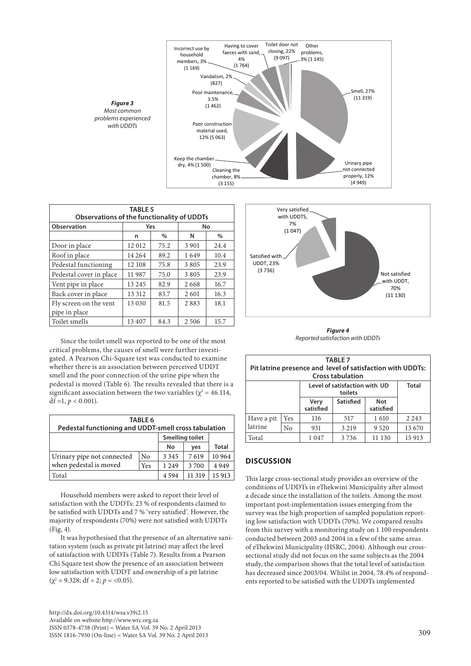

| <b>TABLE 5</b><br>Observations of the functionality of UDDTs |           |      |         |      |  |
|--------------------------------------------------------------|-----------|------|---------|------|--|
| <b>Observation</b>                                           | Yes<br>No |      |         |      |  |
|                                                              | n         | $\%$ | N       | $\%$ |  |
| Door in place                                                | 12 012    | 75.2 | 3 9 0 1 | 24.4 |  |
| Roof in place                                                | 14 2 64   | 89.2 | 1649    | 10.4 |  |
| Pedestal functioning                                         | 12 108    | 75.8 | 3805    | 23.9 |  |
| Pedestal cover in place                                      | 11987     | 75.0 | 3805    | 23.9 |  |
| Vent pipe in place                                           | 13 2 45   | 82.9 | 2668    | 16.7 |  |
| Back cover in place                                          | 13 3 12   | 83.7 | 2 601   | 16.3 |  |
| Fly screen on the vent                                       | 13 0 30   | 81.5 | 2883    | 18.1 |  |
| pipe in place                                                |           |      |         |      |  |
| Toilet smells                                                | 13 407    | 84.3 | 2 5 0 6 | 15.7 |  |

Since the toilet smell was reported to be one of the most critical problems, the causes of smell were further investigated. A Pearson Chi-Square test was conducted to examine whether there is an association between perceived UDDT smell and the poor connection of the urine pipe when the pedestal is moved (Table 6). The results revealed that there is a significant association between the two variables ( $\chi^2$  = 46.114, df =1,  $p < 0.001$ ).

| <b>TABLE 6</b><br>Pedestal functioning and UDDT-smell cross tabulation |                |         |        |        |  |
|------------------------------------------------------------------------|----------------|---------|--------|--------|--|
| <b>Smelling toilet</b>                                                 |                |         |        |        |  |
| <b>Total</b><br>No<br>yes                                              |                |         |        |        |  |
| Urinary pipe not connected                                             | N <sub>0</sub> | 3 3 4 5 | 7619   | 10 964 |  |
| when pedestal is moved                                                 | 1 2.49         | 3700    | 4949   |        |  |
| Total                                                                  | 4 5 9 4        | 11 319  | 15 913 |        |  |

Household members were asked to report their level of satisfaction with the UDDTs: 23 % of respondents claimed to be satisfied with UDDTs and 7 % 'very satisfied'. However, the majority of respondents (70%) were not satisfied with UDDTs (Fig, 4).

It was hypothesised that the presence of an alternative sanitation system (such as private pit latrine) may affect the level of satisfaction with UDDTs (Table 7). Results from a Pearson Chi Square test show the presence of an association between low satisfaction with UDDT and ownership of a pit latrine  $(\chi^2 = 9.328; df = 2; p = <0.05).$ 



*Figure 4 Reported satisfaction with UDDTs*

| <b>TABLE 7</b><br>Pit latrine presence and level of satisfaction with UDDTs:<br><b>Cross tabulation</b> |                |                        |              |        |         |
|---------------------------------------------------------------------------------------------------------|----------------|------------------------|--------------|--------|---------|
| Level of satisfaction with UD<br>toilets                                                                |                |                        | <b>Total</b> |        |         |
| Satisfied<br><b>Not</b><br>Very<br>satisfied<br>satisfied                                               |                |                        |              |        |         |
| Have a pit                                                                                              | Yes            | 116                    | 517          | 1610   | 2 2 4 3 |
| latrine                                                                                                 | N <sub>0</sub> | 931                    | 3 2 1 9      | 9 5 20 | 13 670  |
| Total                                                                                                   |                | 3736<br>1047<br>11 130 |              |        | 15 913  |

# **DISCUSSION**

This large cross-sectional study provides an overview of the conditions of UDDTs in eThekwini Municipality after almost a decade since the installation of the toilets. Among the most important post-implementation issues emerging from the survey was the high proportion of sampled population reporting low satisfaction with UDDTs (70%). We compared results from this survey with a monitoring study on 1 100 respondents conducted between 2003 and 2004 in a few of the same areas of eThekwini Municipality (HSRC, 2004). Although our crosssectional study did not focus on the same subjects as the 2004 study, the comparison shows that the total level of satisfaction has decreased since 2003/04. Whilst in 2004, 78.4% of respondents reported to be satisfied with the UDDTs implemented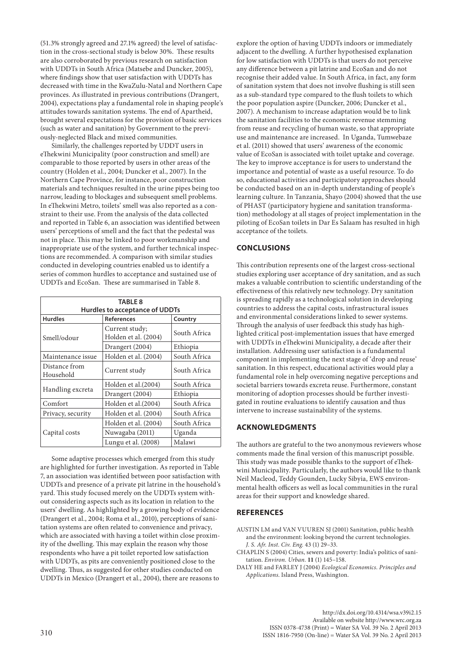(51.3% strongly agreed and 27.1% agreed) the level of satisfaction in the cross-sectional study is below 30%. These results are also corroborated by previous research on satisfaction with UDDTs in South Africa (Matsebe and Duncker, 2005), where findings show that user satisfaction with UDDTs has decreased with time in the KwaZulu-Natal and Northern Cape provinces. As illustrated in previous contributions (Drangert, 2004), expectations play a fundamental role in shaping people's attitudes towards sanitation systems. The end of Apartheid, brought several expectations for the provision of basic services (such as water and sanitation) by Government to the previously-neglected Black and mixed communities.

Similarly, the challenges reported by UDDT users in eThekwini Municipality (poor construction and smell) are comparable to those reported by users in other areas of the country (Holden et al., 2004; Duncker et al., 2007). In the Northern Cape Province, for instance, poor construction materials and techniques resulted in the urine pipes being too narrow, leading to blockages and subsequent smell problems. In eThekwini Metro, toilets' smell was also reported as a constraint to their use. From the analysis of the data collected and reported in Table 6, an association was identified between users' perceptions of smell and the fact that the pedestal was not in place. This may be linked to poor workmanship and inappropriate use of the system, and further technical inspections are recommended. A comparison with similar studies conducted in developing countries enabled us to identify a series of common hurdles to acceptance and sustained use of UDDTs and EcoSan. These are summarised in Table 8.

| <b>TABLE 8</b><br>Hurdles to acceptance of UDDTs |                                        |              |  |  |
|--------------------------------------------------|----------------------------------------|--------------|--|--|
|                                                  |                                        |              |  |  |
| <b>Hurdles</b><br>References                     |                                        | Country      |  |  |
| Smell/odour                                      | Current study;<br>Holden et al. (2004) | South Africa |  |  |
|                                                  | Drangert (2004)                        | Ethiopia     |  |  |
| Maintenance issue                                | Holden et al. (2004)                   | South Africa |  |  |
| Distance from<br>Household                       | Current study                          | South Africa |  |  |
|                                                  | Holden et al.(2004)                    | South Africa |  |  |
| Handling excreta                                 | Drangert (2004)                        | Ethiopia     |  |  |
| Comfort                                          | Holden et al. (2004)                   | South Africa |  |  |
| Privacy, security                                | Holden et al. (2004)                   | South Africa |  |  |
|                                                  | Holden et al. (2004)                   | South Africa |  |  |
| Capital costs                                    | Nuwagaba (2011)                        | Uganda       |  |  |
|                                                  | Lungu et al. (2008)                    | Malawi       |  |  |

Some adaptive processes which emerged from this study are highlighted for further investigation. As reported in Table 7, an association was identified between poor satisfaction with UDDTs and presence of a private pit latrine in the household's yard. This study focused merely on the UDDTs system without considering aspects such as its location in relation to the users' dwelling. As highlighted by a growing body of evidence (Drangert et al., 2004; Roma et al., 2010), perceptions of sanitation systems are often related to convenience and privacy, which are associated with having a toilet within close proximity of the dwelling. This may explain the reason why those respondents who have a pit toilet reported low satisfaction with UDDTs, as pits are conveniently positioned close to the dwelling. Thus, as suggested for other studies conducted on UDDTs in Mexico (Drangert et al., 2004), there are reasons to

explore the option of having UDDTs indoors or immediately adjacent to the dwelling. A further hypothesised explanation for low satisfaction with UDDTs is that users do not perceive any difference between a pit latrine and EcoSan and do not recognise their added value. In South Africa, in fact, any form of sanitation system that does not involve flushing is still seen as a sub-standard type compared to the flush toilets to which the poor population aspire (Duncker, 2006; Duncker et al., 2007). A mechanism to increase adaptation would be to link the sanitation facilities to the economic revenue stemming from reuse and recycling of human waste, so that appropriate use and maintenance are increased. In Uganda, Tumwebaze et al. (2011) showed that users' awareness of the economic value of EcoSan is associated with toilet uptake and coverage. The key to improve acceptance is for users to understand the importance and potential of waste as a useful resource. To do so, educational activities and participatory approaches should be conducted based on an in-depth understanding of people's learning culture. In Tanzania, Shayo (2004) showed that the use of PHAST (participatory hygiene and sanitation transformation) methodology at all stages of project implementation in the piloting of EcoSan toilets in Dar Es Salaam has resulted in high acceptance of the toilets.

# **CONCLUSIONS**

This contribution represents one of the largest cross-sectional studies exploring user acceptance of dry sanitation, and as such makes a valuable contribution to scientific understanding of the effectiveness of this relatively new technology. Dry sanitation is spreading rapidly as a technological solution in developing countries to address the capital costs, infrastructural issues and environmental considerations linked to sewer systems. Through the analysis of user feedback this study has highlighted critical post-implementation issues that have emerged with UDDTs in eThekwini Municipality, a decade after their installation. Addressing user satisfaction is a fundamental component in implementing the next stage of 'drop and reuse' sanitation. In this respect, educational activities would play a fundamental role in help overcoming negative perceptions and societal barriers towards excreta reuse. Furthermore, constant monitoring of adoption processes should be further investigated in routine evaluations to identify causation and thus intervene to increase sustainability of the systems.

## **ACKNOWLEDGMENTS**

The authors are grateful to the two anonymous reviewers whose comments made the final version of this manuscript possible. This study was made possible thanks to the support of eThekwini Municipality. Particularly, the authors would like to thank Neil Macleod, Teddy Gounden, Lucky Sibyia, EWS environmental health officers as well as local communities in the rural areas for their support and knowledge shared.

## **REFERENCES**

- AUSTIN LM and VAN VUUREN SJ (2001) Sanitation, public health and the environment: looking beyond the current technologies. *J. S. Afr. Inst. Civ. Eng.* 43 (1) 29–33.
- CHAPLIN S (2004) Cities, sewers and poverty: India's politics of sanitation. *Environ. Urban.* **11** (1) 145–158.
- DALY HE and FARLEY J (2004) *Ecological Economics. Principles and Applications*. Island Press, Washington.